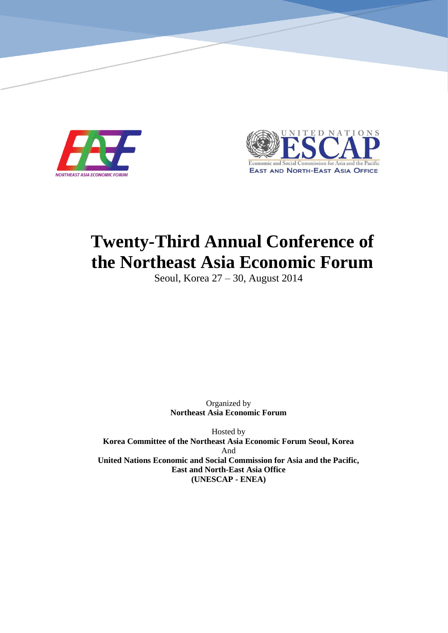

*Twenty-Third Annual Northeast Asia Economic Forum Conference*



# **Twenty-Third Annual Conference of the Northeast Asia Economic Forum**

Seoul, Korea 27 – 30, August 2014

Organized by **Northeast Asia Economic Forum**

Hosted by **Korea Committee of the Northeast Asia Economic Forum Seoul, Korea** And **United Nations Economic and Social Commission for Asia and the Pacific, East and North-East Asia Office (UNESCAP - ENEA)**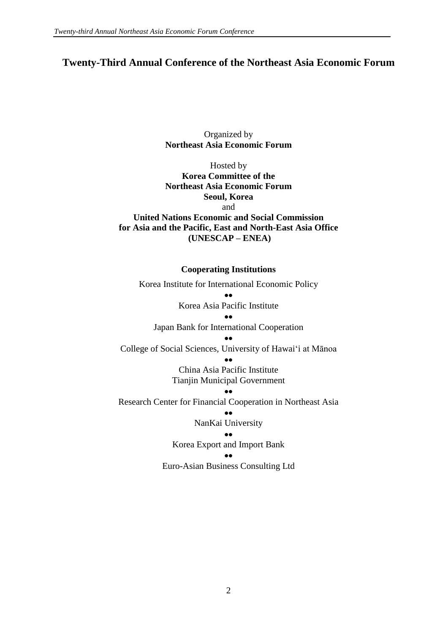# **Twenty-Third Annual Conference of the Northeast Asia Economic Forum**

Organized by **Northeast Asia Economic Forum** 

Hosted by **Korea Committee of the Northeast Asia Economic Forum Seoul, Korea** and **United Nations Economic and Social Commission for Asia and the Pacific, East and North-East Asia Office (UNESCAP – ENEA)**

#### **Cooperating Institutions**

Korea Institute for International Economic Policy •• Korea Asia Pacific Institute •• Japan Bank for International Cooperation •• College of Social Sciences, University of Hawai'i at Mānoa •• China Asia Pacific Institute Tianjin Municipal Government •• Research Center for Financial Cooperation in Northeast Asia •• NanKai University •• Korea Export and Import Bank •• Euro-Asian Business Consulting Ltd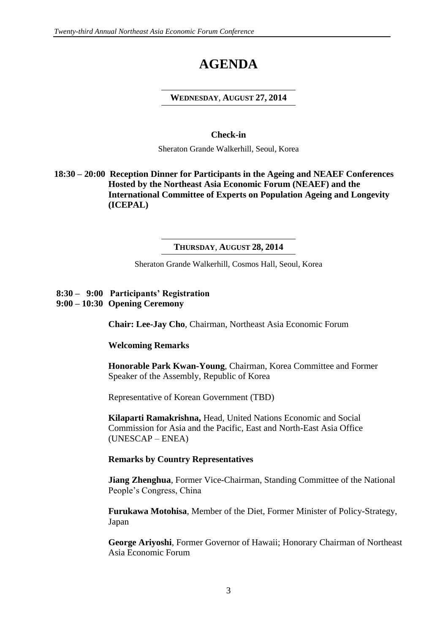# **AGENDA**

#### **WEDNESDAY**, **AUGUST 27, 2014**

#### **Check-in**

Sheraton Grande Walkerhill, Seoul, Korea

# **18:30 – 20:00 Reception Dinner for Participants in the Ageing and NEAEF Conferences Hosted by the Northeast Asia Economic Forum (NEAEF) and the International Committee of Experts on Population Ageing and Longevity (ICEPAL)**

#### **THURSDAY**, **AUGUST 28, 2014**

Sheraton Grande Walkerhill, Cosmos Hall, Seoul, Korea

# **8:30 – 9:00 Participants' Registration**

**9:00 – 10:30 Opening Ceremony**

**Chair: Lee-Jay Cho**, Chairman, Northeast Asia Economic Forum

# **Welcoming Remarks**

**Honorable Park Kwan-Young**, Chairman, Korea Committee and Former Speaker of the Assembly, Republic of Korea

Representative of Korean Government (TBD)

**Kilaparti Ramakrishna,** Head, United Nations Economic and Social Commission for Asia and the Pacific, East and North-East Asia Office (UNESCAP – ENEA)

# **Remarks by Country Representatives**

**Jiang Zhenghua**, Former Vice-Chairman, Standing Committee of the National People's Congress, China

**Furukawa Motohisa**, Member of the Diet, Former Minister of Policy-Strategy, Japan

**George Ariyoshi**, Former Governor of Hawaii; Honorary Chairman of Northeast Asia Economic Forum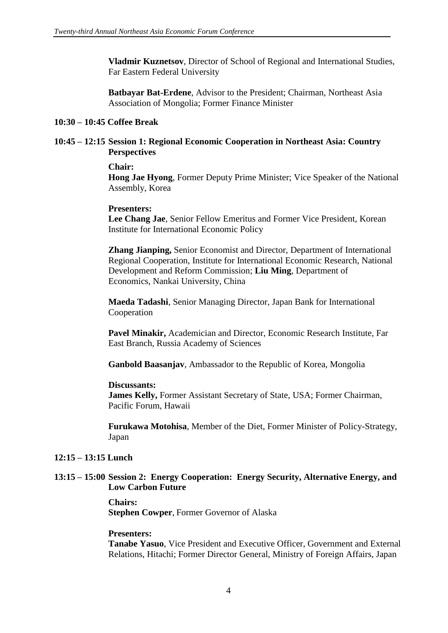**Vladmir Kuznetsov**, Director of School of Regional and International Studies, Far Eastern Federal University

**Batbayar Bat-Erdene**, Advisor to the President; Chairman, Northeast Asia Association of Mongolia; Former Finance Minister

#### **10:30 – 10:45 Coffee Break**

#### **10:45 – 12:15 Session 1: Regional Economic Cooperation in Northeast Asia: Country Perspectives**

#### **Chair:**

**Hong Jae Hyong**, Former Deputy Prime Minister; Vice Speaker of the National Assembly, Korea

#### **Presenters:**

**Lee Chang Jae**, Senior Fellow Emeritus and Former Vice President, Korean Institute for International Economic Policy

 **Zhang Jianping,** Senior Economist and Director, Department of International Regional Cooperation, Institute for International Economic Research, National Development and Reform Commission; **Liu Ming**, Department of Economics, Nankai University, China

**Maeda Tadashi**, Senior Managing Director, Japan Bank for International Cooperation

**Pavel Minakir,** Academician and Director, Economic Research Institute, Far East Branch, Russia Academy of Sciences

**Ganbold Baasanjav**, Ambassador to the Republic of Korea, Mongolia

#### **Discussants:**

**James Kelly,** Former Assistant Secretary of State, USA; Former Chairman, Pacific Forum, Hawaii

**Furukawa Motohisa**, Member of the Diet, Former Minister of Policy-Strategy, Japan

#### **12:15 – 13:15 Lunch**

#### **13:15 – 15:00 Session 2: Energy Cooperation: Energy Security, Alternative Energy, and Low Carbon Future**

**Chairs: Stephen Cowper**, Former Governor of Alaska

#### **Presenters:**

**Tanabe Yasuo**, Vice President and Executive Officer, Government and External Relations, Hitachi; Former Director General, Ministry of Foreign Affairs, Japan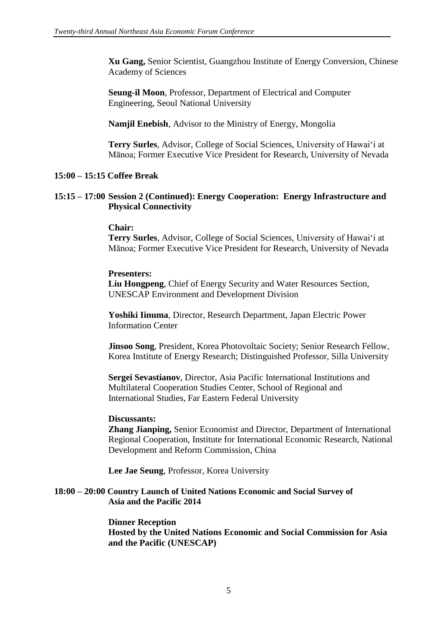**Xu Gang,** Senior Scientist, Guangzhou Institute of Energy Conversion, Chinese Academy of Sciences

 **Seung-il Moon**, Professor, Department of Electrical and Computer Engineering, Seoul National University

**Namjil Enebish**, Advisor to the Ministry of Energy, Mongolia

**Terry Surles**, Advisor, College of Social Sciences, University of Hawai'i at Mānoa; Former Executive Vice President for Research, University of Nevada

# **15:00 – 15:15 Coffee Break**

#### **15:15 – 17:00 Session 2 (Continued): Energy Cooperation: Energy Infrastructure and Physical Connectivity**

#### **Chair:**

**Terry Surles**, Advisor, College of Social Sciences, University of Hawai'i at Mānoa; Former Executive Vice President for Research, University of Nevada

#### **Presenters:**

 **Liu Hongpeng**, Chief of Energy Security and Water Resources Section, UNESCAP Environment and Development Division

**Yoshiki Iinuma**, Director, Research Department, Japan Electric Power Information Center

**Jinsoo Song**, President, Korea Photovoltaic Society; Senior Research Fellow, Korea Institute of Energy Research; Distinguished Professor, Silla University

**Sergei Sevastianov**, Director, Asia Pacific International Institutions and Multilateral Cooperation Studies Center, School of Regional and International Studies, Far Eastern Federal University

#### **Discussants:**

**Zhang Jianping,** Senior Economist and Director, Department of International Regional Cooperation, Institute for International Economic Research, National Development and Reform Commission, China

**Lee Jae Seung**, Professor, Korea University

#### **18:00 – 20:00 Country Launch of United Nations Economic and Social Survey of Asia and the Pacific 2014**

 **Dinner Reception Hosted by the United Nations Economic and Social Commission for Asia and the Pacific (UNESCAP)**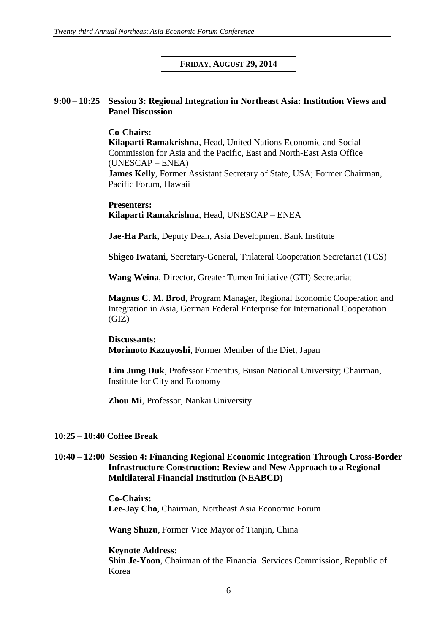#### **FRIDAY**, **AUGUST 29, 2014**

#### **9:00 – 10:25 Session 3: Regional Integration in Northeast Asia: Institution Views and Panel Discussion**

**Co-Chairs: Kilaparti Ramakrishna**, Head, United Nations Economic and Social Commission for Asia and the Pacific, East and North-East Asia Office (UNESCAP – ENEA) **James Kelly**, Former Assistant Secretary of State, USA; Former Chairman, Pacific Forum, Hawaii

#### **Presenters: Kilaparti Ramakrishna**, Head, UNESCAP – ENEA

**Jae-Ha Park**, Deputy Dean, Asia Development Bank Institute

**Shigeo Iwatani**, Secretary-General, Trilateral Cooperation Secretariat (TCS)

**Wang Weina**, Director, Greater Tumen Initiative (GTI) Secretariat

**Magnus C. M. Brod**, Program Manager, Regional Economic Cooperation and Integration in Asia, German Federal Enterprise for International Cooperation (GIZ)

**Discussants: Morimoto Kazuyoshi**, Former Member of the Diet, Japan

**Lim Jung Duk**, Professor Emeritus, Busan National University; Chairman, Institute for City and Economy

**Zhou Mi**, Professor, Nankai University

#### **10:25 – 10:40 Coffee Break**

#### **10:40 – 12:00 Session 4: Financing Regional Economic Integration Through Cross-Border Infrastructure Construction: Review and New Approach to a Regional Multilateral Financial Institution (NEABCD)**

**Co-Chairs: Lee-Jay Cho**, Chairman, Northeast Asia Economic Forum

**Wang Shuzu**, Former Vice Mayor of Tianjin, China

**Keynote Address: Shin Je-Yoon**, Chairman of the Financial Services Commission, Republic of Korea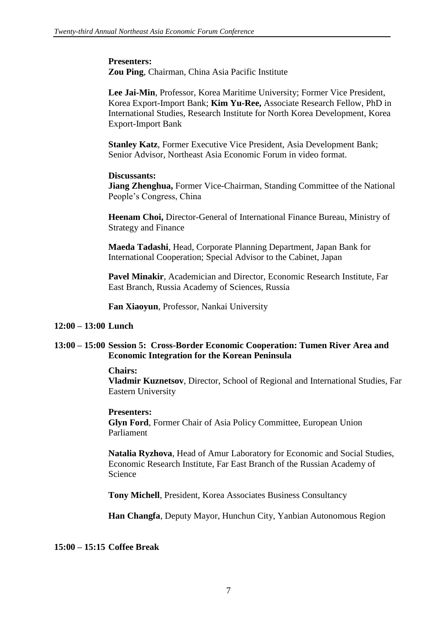**Presenters: Zou Ping**, Chairman, China Asia Pacific Institute

**Lee Jai-Min**, Professor, Korea Maritime University; Former Vice President, Korea Export-Import Bank; **Kim Yu-Ree,** Associate Research Fellow, PhD in International Studies, Research Institute for North Korea Development, Korea Export-Import Bank

**Stanley Katz**, Former Executive Vice President, Asia Development Bank; Senior Advisor, Northeast Asia Economic Forum in video format.

#### **Discussants:**

**Jiang Zhenghua,** Former Vice-Chairman, Standing Committee of the National People's Congress, China

**Heenam Choi,** Director-General of International Finance Bureau, Ministry of Strategy and Finance

**Maeda Tadashi**, Head, Corporate Planning Department, Japan Bank for International Cooperation; Special Advisor to the Cabinet, Japan

**Pavel Minakir**, Academician and Director, Economic Research Institute, Far East Branch, Russia Academy of Sciences, Russia

**Fan Xiaoyun**, Professor, Nankai University

# **12:00 – 13:00 Lunch**

# **13:00 – 15:00 Session 5: Cross-Border Economic Cooperation: Tumen River Area and Economic Integration for the Korean Peninsula**

#### **Chairs:**

**Vladmir Kuznetsov**, Director, School of Regional and International Studies, Far Eastern University

#### **Presenters:**

**Glyn Ford**, Former Chair of Asia Policy Committee, European Union Parliament

**Natalia Ryzhova**, Head of Amur Laboratory for Economic and Social Studies, Economic Research Institute, Far East Branch of the Russian Academy of Science

**Tony Michell**, President, Korea Associates Business Consultancy

**Han Changfa**, Deputy Mayor, Hunchun City, Yanbian Autonomous Region

# **15:00 – 15:15 Coffee Break**